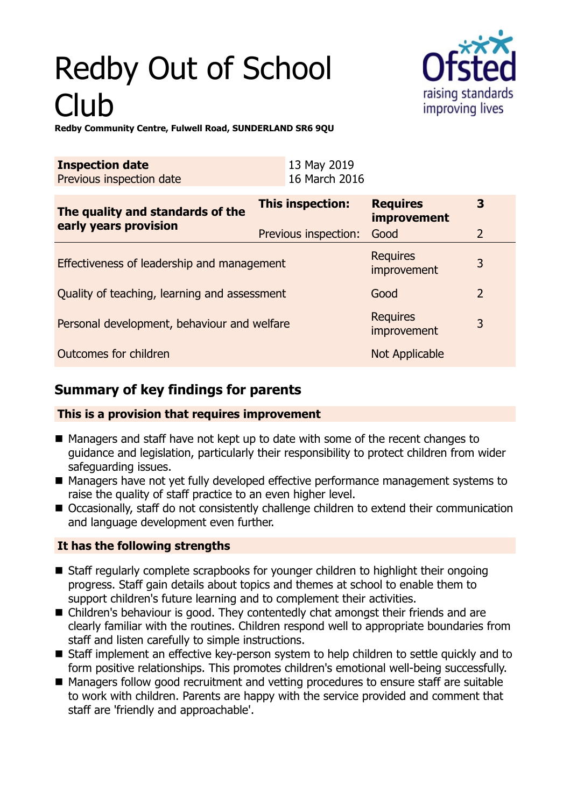# Redby Out of School Club



**Redby Community Centre, Fulwell Road, SUNDERLAND SR6 9QU**

| <b>Inspection date</b><br>Previous inspection date        |  | 13 May 2019<br>16 March 2016             |                                               |                |
|-----------------------------------------------------------|--|------------------------------------------|-----------------------------------------------|----------------|
| The quality and standards of the<br>early years provision |  | This inspection:<br>Previous inspection: | <b>Requires</b><br><i>improvement</i><br>Good | 3<br>2         |
| Effectiveness of leadership and management                |  |                                          | <b>Requires</b><br>improvement                | 3              |
| Quality of teaching, learning and assessment              |  |                                          | Good                                          | $\overline{2}$ |
| Personal development, behaviour and welfare               |  |                                          | <b>Requires</b><br>improvement                | 3              |
| Outcomes for children                                     |  | <b>Not Applicable</b>                    |                                               |                |

# **Summary of key findings for parents**

### **This is a provision that requires improvement**

- $\blacksquare$  Managers and staff have not kept up to date with some of the recent changes to guidance and legislation, particularly their responsibility to protect children from wider safeguarding issues.
- Managers have not yet fully developed effective performance management systems to raise the quality of staff practice to an even higher level.
- Occasionally, staff do not consistently challenge children to extend their communication and language development even further.

## **It has the following strengths**

- Staff regularly complete scrapbooks for younger children to highlight their ongoing progress. Staff gain details about topics and themes at school to enable them to support children's future learning and to complement their activities.
- $\blacksquare$  Children's behaviour is good. They contentedly chat amongst their friends and are clearly familiar with the routines. Children respond well to appropriate boundaries from staff and listen carefully to simple instructions.
- Staff implement an effective key-person system to help children to settle quickly and to form positive relationships. This promotes children's emotional well-being successfully.
- Managers follow good recruitment and vetting procedures to ensure staff are suitable to work with children. Parents are happy with the service provided and comment that staff are 'friendly and approachable'.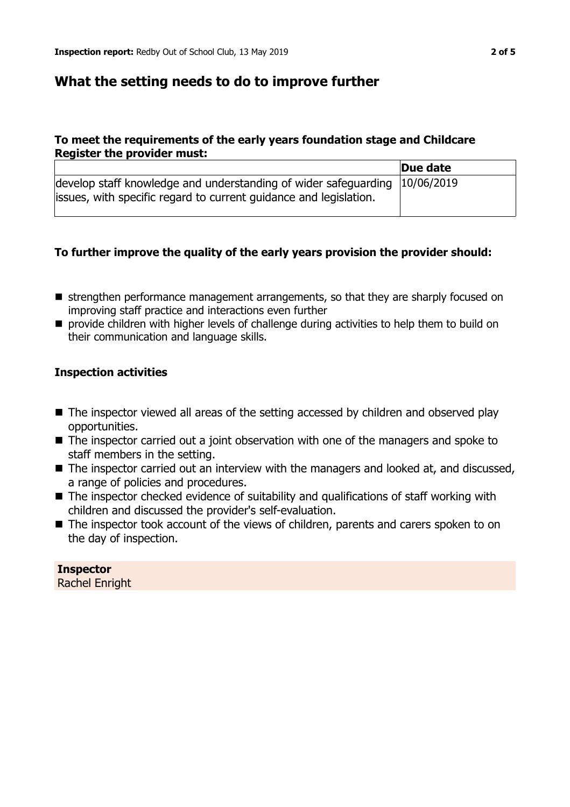## **What the setting needs to do to improve further**

#### **To meet the requirements of the early years foundation stage and Childcare Register the provider must:**

|                                                                                                                                                 | Due date |
|-------------------------------------------------------------------------------------------------------------------------------------------------|----------|
| develop staff knowledge and understanding of wider safeguarding 10/06/2019<br>issues, with specific regard to current guidance and legislation. |          |
|                                                                                                                                                 |          |

#### **To further improve the quality of the early years provision the provider should:**

- **n** strengthen performance management arrangements, so that they are sharply focused on improving staff practice and interactions even further
- $\blacksquare$  provide children with higher levels of challenge during activities to help them to build on their communication and language skills.

#### **Inspection activities**

- $\blacksquare$  The inspector viewed all areas of the setting accessed by children and observed play opportunities.
- The inspector carried out a joint observation with one of the managers and spoke to staff members in the setting.
- The inspector carried out an interview with the managers and looked at, and discussed, a range of policies and procedures.
- $\blacksquare$  The inspector checked evidence of suitability and qualifications of staff working with children and discussed the provider's self-evaluation.
- The inspector took account of the views of children, parents and carers spoken to on the day of inspection.

**Inspector** Rachel Enright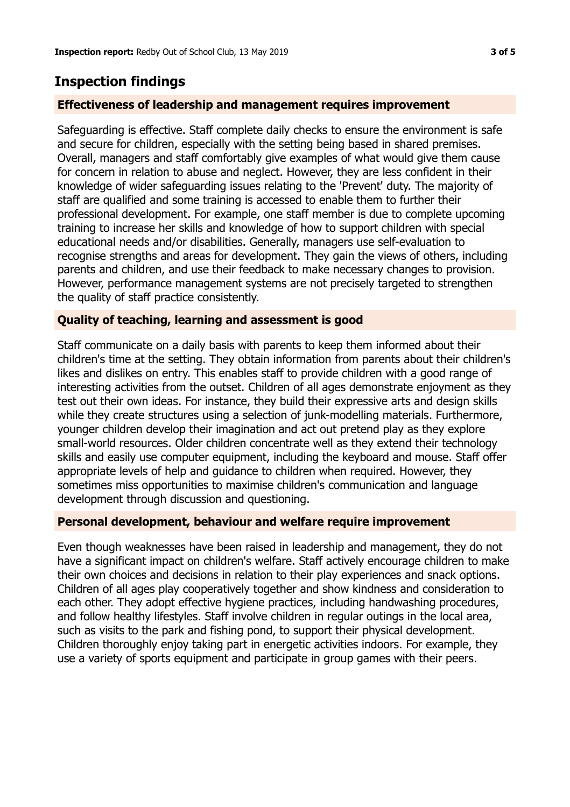## **Inspection findings**

#### **Effectiveness of leadership and management requires improvement**

Safeguarding is effective. Staff complete daily checks to ensure the environment is safe and secure for children, especially with the setting being based in shared premises. Overall, managers and staff comfortably give examples of what would give them cause for concern in relation to abuse and neglect. However, they are less confident in their knowledge of wider safeguarding issues relating to the 'Prevent' duty. The majority of staff are qualified and some training is accessed to enable them to further their professional development. For example, one staff member is due to complete upcoming training to increase her skills and knowledge of how to support children with special educational needs and/or disabilities. Generally, managers use self-evaluation to recognise strengths and areas for development. They gain the views of others, including parents and children, and use their feedback to make necessary changes to provision. However, performance management systems are not precisely targeted to strengthen the quality of staff practice consistently.

#### **Quality of teaching, learning and assessment is good**

Staff communicate on a daily basis with parents to keep them informed about their children's time at the setting. They obtain information from parents about their children's likes and dislikes on entry. This enables staff to provide children with a good range of interesting activities from the outset. Children of all ages demonstrate enjoyment as they test out their own ideas. For instance, they build their expressive arts and design skills while they create structures using a selection of junk-modelling materials. Furthermore, younger children develop their imagination and act out pretend play as they explore small-world resources. Older children concentrate well as they extend their technology skills and easily use computer equipment, including the keyboard and mouse. Staff offer appropriate levels of help and guidance to children when required. However, they sometimes miss opportunities to maximise children's communication and language development through discussion and questioning.

#### **Personal development, behaviour and welfare require improvement**

Even though weaknesses have been raised in leadership and management, they do not have a significant impact on children's welfare. Staff actively encourage children to make their own choices and decisions in relation to their play experiences and snack options. Children of all ages play cooperatively together and show kindness and consideration to each other. They adopt effective hygiene practices, including handwashing procedures, and follow healthy lifestyles. Staff involve children in regular outings in the local area, such as visits to the park and fishing pond, to support their physical development. Children thoroughly enjoy taking part in energetic activities indoors. For example, they use a variety of sports equipment and participate in group games with their peers.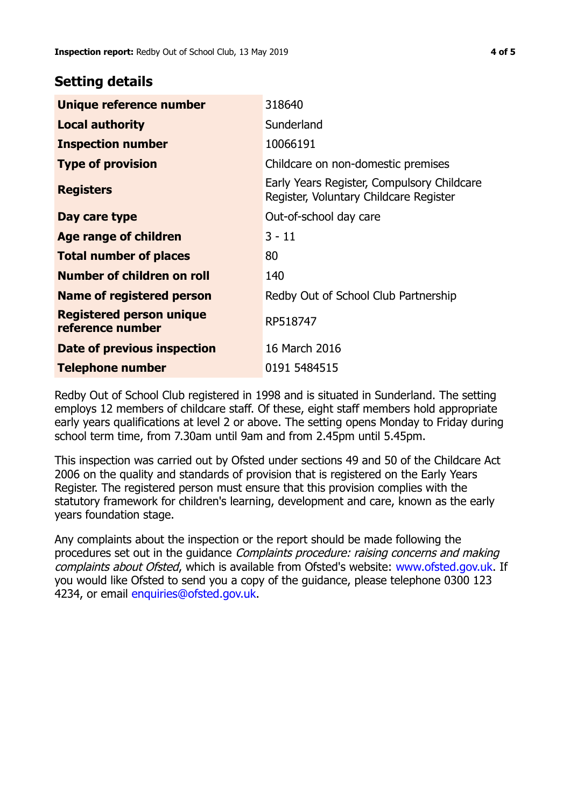## **Setting details**

| Unique reference number                             | 318640                                                                               |
|-----------------------------------------------------|--------------------------------------------------------------------------------------|
| <b>Local authority</b>                              | Sunderland                                                                           |
| <b>Inspection number</b>                            | 10066191                                                                             |
| <b>Type of provision</b>                            | Childcare on non-domestic premises                                                   |
| <b>Registers</b>                                    | Early Years Register, Compulsory Childcare<br>Register, Voluntary Childcare Register |
| Day care type                                       | Out-of-school day care                                                               |
| <b>Age range of children</b>                        | $3 - 11$                                                                             |
| <b>Total number of places</b>                       | 80                                                                                   |
| Number of children on roll                          | 140                                                                                  |
| Name of registered person                           | Redby Out of School Club Partnership                                                 |
| <b>Registered person unique</b><br>reference number | RP518747                                                                             |
| Date of previous inspection                         | 16 March 2016                                                                        |
| <b>Telephone number</b>                             | 0191 5484515                                                                         |

Redby Out of School Club registered in 1998 and is situated in Sunderland. The setting employs 12 members of childcare staff. Of these, eight staff members hold appropriate early years qualifications at level 2 or above. The setting opens Monday to Friday during school term time, from 7.30am until 9am and from 2.45pm until 5.45pm.

This inspection was carried out by Ofsted under sections 49 and 50 of the Childcare Act 2006 on the quality and standards of provision that is registered on the Early Years Register. The registered person must ensure that this provision complies with the statutory framework for children's learning, development and care, known as the early years foundation stage.

Any complaints about the inspection or the report should be made following the procedures set out in the quidance *Complaints procedure: raising concerns and making* complaints about Ofsted, which is available from Ofsted's website: www.ofsted.gov.uk. If you would like Ofsted to send you a copy of the guidance, please telephone 0300 123 4234, or email [enquiries@ofsted.gov.uk.](mailto:enquiries@ofsted.gov.uk)